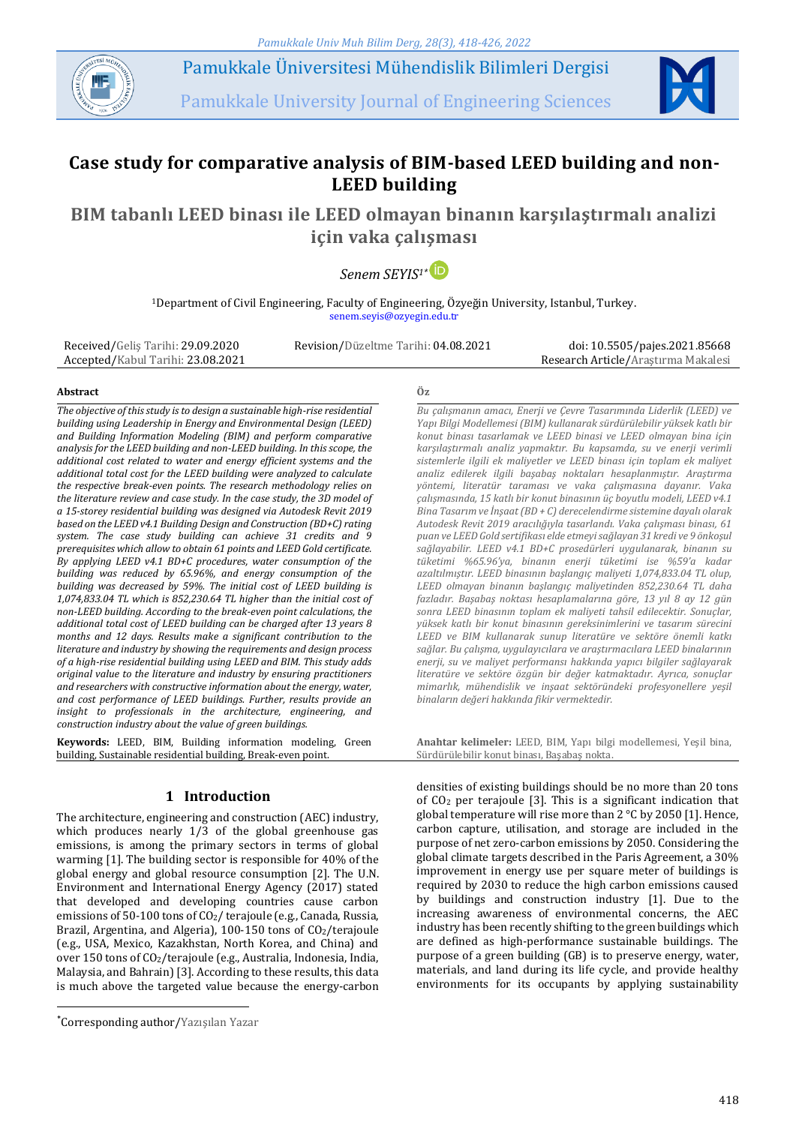*Pamukkale Univ Muh Bilim Derg, 28(3), 418-426, 2022*

Pamukkale Üniversitesi Mühendislik Bilimleri Dergisi

Pamukkale University Journal of Engineering Sciences



# **Case study for comparative analysis of BIM-based LEED building and non-LEED building**

# **BIM tabanlı LEED binası ile LEED olmayan binanın karşılaştırmalı analizi için vaka çalışması**

*Senem SEYIS1\**

<sup>1</sup>Department of Civil Engineering, Faculty of Engineering, Özyeğin University, Istanbul, Turkey. senem.seyis@ozyegin.edu.tr

Received/Geliş Tarihi: 29.09.2020 Accepted/Kabul Tarihi: 23.08.2021

Revision/Düzeltme Tarihi: 04.08.2021 doi: 10.5505/pajes.2021.85668 Research Article/Araştırma Makalesi

#### **Abstract Öz**

*The objective of this study is to design a sustainable high-rise residential building using Leadership in Energy and Environmental Design (LEED) and Building Information Modeling (BIM) and perform comparative analysis for the LEED building and non-LEED building. In this scope, the additional cost related to water and energy efficient systems and the additional total cost for the LEED building were analyzed to calculate the respective break-even points. The research methodology relies on the literature review and case study. In the case study, the 3D model of a 15-storey residential building was designed via Autodesk Revit 2019 based on the LEED v4.1 Building Design and Construction (BD+C) rating system. The case study building can achieve 31 credits and 9 prerequisites which allow to obtain 61 points and LEED Gold certificate. By applying LEED v4.1 BD+C procedures, water consumption of the building was reduced by 65.96%, and energy consumption of the building was decreased by 59%. The initial cost of LEED building is 1,074,833.04 TL which is 852,230.64 TL higher than the initial cost of non-LEED building. According to the break-even point calculations, the additional total cost of LEED building can be charged after 13 years 8 months and 12 days. Results make a significant contribution to the literature and industry by showing the requirements and design process of a high-rise residential building using LEED and BIM. This study adds original value to the literature and industry by ensuring practitioners and researchers with constructive information about the energy, water, and cost performance of LEED buildings. Further, results provide an insight to professionals in the architecture, engineering, and construction industry about the value of green buildings.*

**Keywords:** LEED, BIM, Building information modeling, Green building, Sustainable residential building, Break-even point.

# **1 Introduction**

The architecture, engineering and construction (AEC) industry, which produces nearly 1/3 of the global greenhouse gas emissions, is among the primary sectors in terms of global warming [1]. The building sector is responsible for 40% of the global energy and global resource consumption [2]. The U.N. Environment and International Energy Agency (2017) stated that developed and developing countries cause carbon emissions of 50-100 tons of CO2/ terajoule (e.g., Canada, Russia, Brazil, Argentina, and Algeria),  $100-150$  tons of  $CO<sub>2</sub>/terajoule$ (e.g., USA, Mexico, Kazakhstan, North Korea, and China) and over 150 tons of CO2/terajoule (e.g., Australia, Indonesia, India, Malaysia, and Bahrain) [3]. According to these results, this data is much above the targeted value because the energy-carbon

 $\overline{a}$ 

*Bu çalışmanın amacı, Enerji ve Çevre Tasarımında Liderlik (LEED) ve Yapı Bilgi Modellemesi (BIM) kullanarak sürdürülebilir yüksek katlı bir konut binası tasarlamak ve LEED binasi ve LEED olmayan bina için karşılaştırmalı analiz yapmaktır. Bu kapsamda, su ve enerji verimli sistemlerle ilgili ek maliyetler ve LEED binası için toplam ek maliyet analiz edilerek ilgili başabaş noktaları hesaplanmıştır. Araştırma yöntemi, literatür taraması ve vaka çalışmasına dayanır. Vaka çalışmasında, 15 katlı bir konut binasının üç boyutlu modeli, LEED v4.1 Bina Tasarım ve İnşaat (BD + C) derecelendirme sistemine dayalı olarak Autodesk Revit 2019 aracılığıyla tasarlandı. Vaka çalışması binası, 61 puan ve LEED Gold sertifikası elde etmeyi sağlayan 31 kredi ve 9 önkoşul sağlayabilir. LEED v4.1 BD+C prosedürleri uygulanarak, binanın su tüketimi %65.96'ya, binanın enerji tüketimi ise %59'a kadar azaltılmıştır. LEED binasının başlangıç maliyeti 1,074,833.04 TL olup, LEED olmayan binanın başlangıç maliyetinden 852,230.64 TL daha fazladır. Başabaş noktası hesaplamalarına göre, 13 yıl 8 ay 12 gün sonra LEED binasının toplam ek maliyeti tahsil edilecektir. Sonuçlar, yüksek katlı bir konut binasının gereksinimlerini ve tasarım sürecini LEED ve BIM kullanarak sunup literatüre ve sektöre önemli katkı sağlar. Bu çalışma, uygulayıcılara ve araştırmacılara LEED binalarının enerji, su ve maliyet performansı hakkında yapıcı bilgiler sağlayarak literatüre ve sektöre özgün bir değer katmaktadır. Ayrıca, sonuçlar mimarlık, mühendislik ve inşaat sektöründeki profesyonellere yeşil binaların değeri hakkında fikir vermektedir.*

**Anahtar kelimeler:** LEED, BIM, Yapı bilgi modellemesi, Yeşil bina, Sürdürülebilir konut binası, Başabaş nokta.

densities of existing buildings should be no more than 20 tons of  $CO<sub>2</sub>$  per terajoule [3]. This is a significant indication that global temperature will rise more than 2 °C by 2050 [1]. Hence, carbon capture, utilisation, and storage are included in the purpose of net zero-carbon emissions by 2050. Considering the global climate targets described in the Paris Agreement, a 30% improvement in energy use per square meter of buildings is required by 2030 to reduce the high carbon emissions caused by buildings and construction industry [1]. Due to the increasing awareness of environmental concerns, the AEC industry has been recently shifting to the green buildings which are defined as high-performance sustainable buildings. The purpose of a green building (GB) is to preserve energy, water, materials, and land during its life cycle, and provide healthy environments for its occupants by applying sustainability

<sup>\*</sup>Corresponding author/Yazışılan Yazar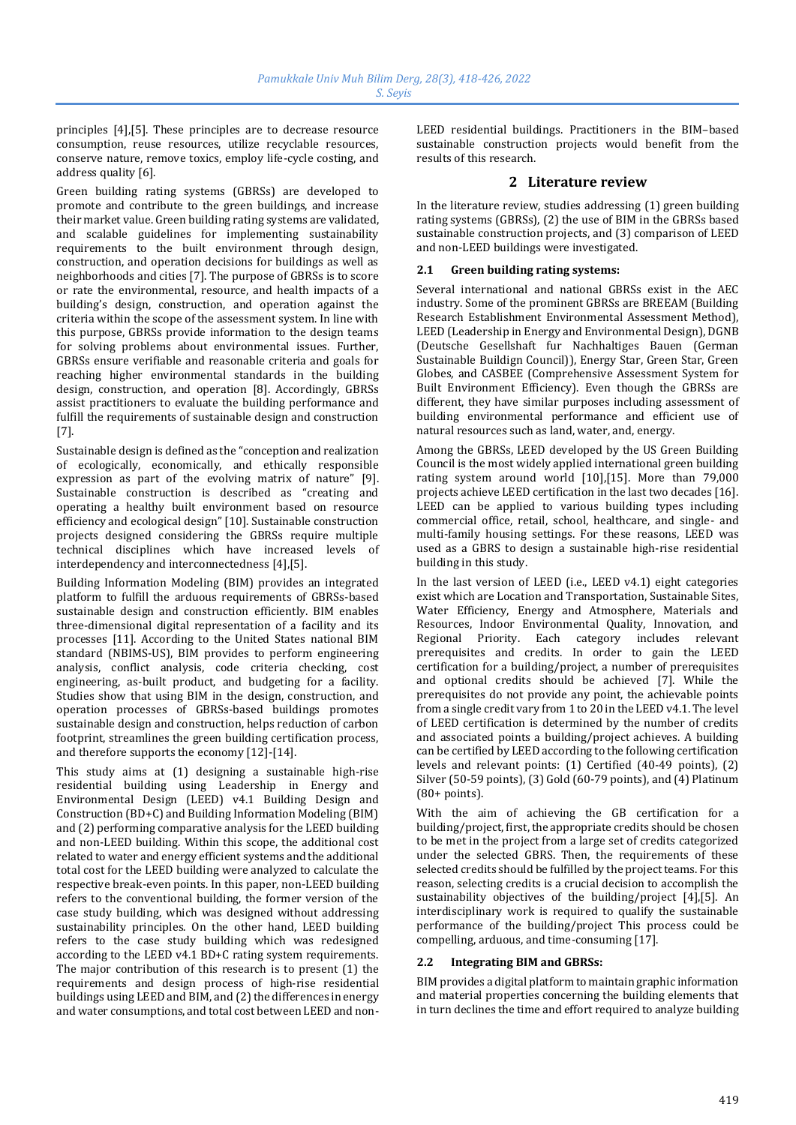principles [4],[5]. These principles are to decrease resource consumption, reuse resources, utilize recyclable resources, conserve nature, remove toxics, employ life-cycle costing, and address quality [6].

Green building rating systems (GBRSs) are developed to promote and contribute to the green buildings, and increase their market value. Green building rating systems are validated, and scalable guidelines for implementing sustainability requirements to the built environment through design, construction, and operation decisions for buildings as well as neighborhoods and cities [7]. The purpose of GBRSs is to score or rate the environmental, resource, and health impacts of a building's design, construction, and operation against the criteria within the scope of the assessment system. In line with this purpose, GBRSs provide information to the design teams for solving problems about environmental issues. Further, GBRSs ensure verifiable and reasonable criteria and goals for reaching higher environmental standards in the building design, construction, and operation [8]. Accordingly, GBRSs assist practitioners to evaluate the building performance and fulfill the requirements of sustainable design and construction [7].

Sustainable design is defined as the "conception and realization of ecologically, economically, and ethically responsible expression as part of the evolving matrix of nature" [9]. Sustainable construction is described as "creating and operating a healthy built environment based on resource efficiency and ecological design" [10]. Sustainable construction projects designed considering the GBRSs require multiple technical disciplines which have increased levels of interdependency and interconnectedness [4],[5].

Building Information Modeling (BIM) provides an integrated platform to fulfill the arduous requirements of GBRSs-based sustainable design and construction efficiently. BIM enables three-dimensional digital representation of a facility and its processes [11]. According to the United States national BIM standard (NBIMS-US), BIM provides to perform engineering analysis, conflict analysis, code criteria checking, cost engineering, as-built product, and budgeting for a facility. Studies show that using BIM in the design, construction, and operation processes of GBRSs-based buildings promotes sustainable design and construction, helps reduction of carbon footprint, streamlines the green building certification process, and therefore supports the economy [12]-[14].

This study aims at (1) designing a sustainable high-rise residential building using Leadership in Energy and Environmental Design (LEED) v4.1 Building Design and Construction (BD+C) and Building Information Modeling (BIM) and (2) performing comparative analysis for the LEED building and non-LEED building. Within this scope, the additional cost related to water and energy efficient systems and the additional total cost for the LEED building were analyzed to calculate the respective break-even points. In this paper, non-LEED building refers to the conventional building, the former version of the case study building, which was designed without addressing sustainability principles. On the other hand, LEED building refers to the case study building which was redesigned according to the LEED v4.1 BD+C rating system requirements. The major contribution of this research is to present (1) the requirements and design process of high-rise residential buildings using LEED and BIM, and (2) the differences in energy and water consumptions, and total cost between LEED and nonLEED residential buildings. Practitioners in the BIM–based sustainable construction projects would benefit from the results of this research.

# **2 Literature review**

In the literature review, studies addressing (1) green building rating systems (GBRSs), (2) the use of BIM in the GBRSs based sustainable construction projects, and (3) comparison of LEED and non-LEED buildings were investigated.

### **2.1 Green building rating systems:**

Several international and national GBRSs exist in the AEC industry. Some of the prominent GBRSs are BREEAM (Building Research Establishment Environmental Assessment Method), LEED (Leadership in Energy and Environmental Design), DGNB (Deutsche Gesellshaft fur Nachhaltiges Bauen (German Sustainable Buildign Council)), Energy Star, Green Star, Green Globes, and CASBEE (Comprehensive Assessment System for Built Environment Efficiency). Even though the GBRSs are different, they have similar purposes including assessment of building environmental performance and efficient use of natural resources such as land, water, and, energy.

Among the GBRSs, LEED developed by the US Green Building Council is the most widely applied international green building rating system around world [10],[15]. More than 79,000 projects achieve LEED certification in the last two decades [16]. LEED can be applied to various building types including commercial office, retail, school, healthcare, and single- and multi-family housing settings. For these reasons, LEED was used as a GBRS to design a sustainable high-rise residential building in this study.

In the last version of LEED (i.e., LEED v4.1) eight categories exist which are Location and Transportation, Sustainable Sites, Water Efficiency, Energy and Atmosphere, Materials and Resources, Indoor Environmental Quality, Innovation, and Regional Priority. Each category includes relevant prerequisites and credits. In order to gain the LEED certification for a building/project, a number of prerequisites and optional credits should be achieved [7]. While the prerequisites do not provide any point, the achievable points from a single credit vary from 1 to 20 in the LEED v4.1. The level of LEED certification is determined by the number of credits and associated points a building/project achieves. A building can be certified by LEED according to the following certification levels and relevant points: (1) Certified (40-49 points), (2) Silver (50-59 points), (3) Gold (60-79 points), and (4) Platinum (80+ points).

With the aim of achieving the GB certification for a building/project, first, the appropriate credits should be chosen to be met in the project from a large set of credits categorized under the selected GBRS. Then, the requirements of these selected credits should be fulfilled by the project teams. For this reason, selecting credits is a crucial decision to accomplish the sustainability objectives of the building/project [4],[5]. An interdisciplinary work is required to qualify the sustainable performance of the building/project This process could be compelling, arduous, and time-consuming [17].

#### **2.2 Integrating BIM and GBRSs:**

BIM provides a digital platform to maintain graphic information and material properties concerning the building elements that in turn declines the time and effort required to analyze building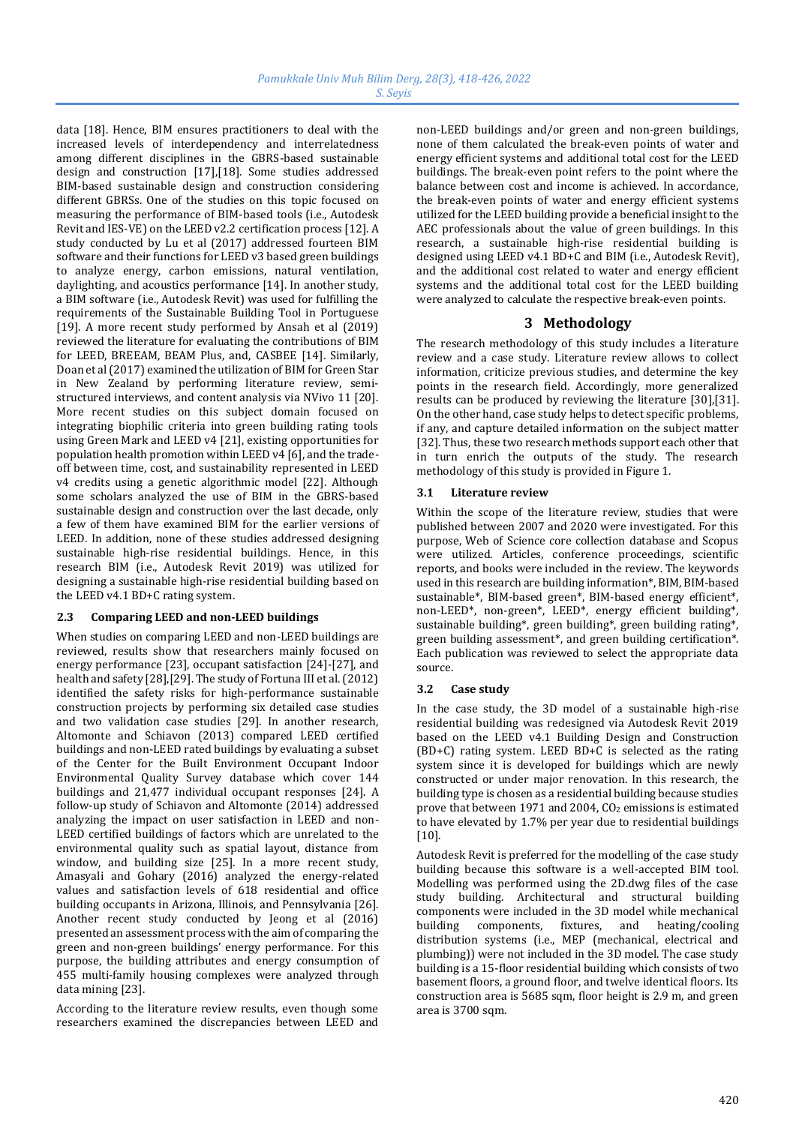data [18]. Hence, BIM ensures practitioners to deal with the increased levels of interdependency and interrelatedness among different disciplines in the GBRS-based sustainable design and construction [17],[18]. Some studies addressed BIM-based sustainable design and construction considering different GBRSs. One of the studies on this topic focused on measuring the performance of BIM-based tools (i.e., Autodesk Revit and IES-VE) on the LEED v2.2 certification process [12]. A study conducted by Lu et al (2017) addressed fourteen BIM software and their functions for LEED v3 based green buildings to analyze energy, carbon emissions, natural ventilation, daylighting, and acoustics performance [14]. In another study, a BIM software (i.e., Autodesk Revit) was used for fulfilling the requirements of the Sustainable Building Tool in Portuguese [19]. A more recent study performed by Ansah et al (2019) reviewed the literature for evaluating the contributions of BIM for LEED, BREEAM, BEAM Plus, and, CASBEE [14]. Similarly, Doan et al (2017) examined the utilization of BIM for Green Star in New Zealand by performing literature review, semistructured interviews, and content analysis via NVivo 11 [20]. More recent studies on this subject domain focused on integrating biophilic criteria into green building rating tools using Green Mark and LEED v4 [21], existing opportunities for population health promotion within LEED v4 [6], and the tradeoff between time, cost, and sustainability represented in LEED v4 credits using a genetic algorithmic model [22]. Although some scholars analyzed the use of BIM in the GBRS-based sustainable design and construction over the last decade, only a few of them have examined BIM for the earlier versions of LEED. In addition, none of these studies addressed designing sustainable high-rise residential buildings. Hence, in this research BIM (i.e., Autodesk Revit 2019) was utilized for designing a sustainable high-rise residential building based on the LEED v4.1 BD+C rating system.

# **2.3 Comparing LEED and non-LEED buildings**

When studies on comparing LEED and non-LEED buildings are reviewed, results show that researchers mainly focused on energy performance [23], occupant satisfaction [24]-[27], and health and safety [28],[29]. The study of Fortuna III et al. (2012) identified the safety risks for high-performance sustainable construction projects by performing six detailed case studies and two validation case studies [29]. In another research, Altomonte and Schiavon (2013) compared LEED certified buildings and non-LEED rated buildings by evaluating a subset of the Center for the Built Environment Occupant Indoor Environmental Quality Survey database which cover 144 buildings and 21,477 individual occupant responses [24]. A follow-up study of Schiavon and Altomonte (2014) addressed analyzing the impact on user satisfaction in LEED and non-LEED certified buildings of factors which are unrelated to the environmental quality such as spatial layout, distance from window, and building size [25]. In a more recent study, Amasyali and Gohary (2016) analyzed the energy-related values and satisfaction levels of 618 residential and office building occupants in Arizona, Illinois, and Pennsylvania [26]. Another recent study conducted by Jeong et al (2016) presented an assessment process with the aim of comparing the green and non-green buildings' energy performance. For this purpose, the building attributes and energy consumption of 455 multi-family housing complexes were analyzed through data mining [23].

According to the literature review results, even though some researchers examined the discrepancies between LEED and non-LEED buildings and/or green and non-green buildings, none of them calculated the break-even points of water and energy efficient systems and additional total cost for the LEED buildings. The break-even point refers to the point where the balance between cost and income is achieved. In accordance, the break-even points of water and energy efficient systems utilized for the LEED building provide a beneficial insight to the AEC professionals about the value of green buildings. In this research, a sustainable high-rise residential building is designed using LEED v4.1 BD+C and BIM (i.e., Autodesk Revit), and the additional cost related to water and energy efficient systems and the additional total cost for the LEED building were analyzed to calculate the respective break-even points.

# **3 Methodology**

The research methodology of this study includes a literature review and a case study. Literature review allows to collect information, criticize previous studies, and determine the key points in the research field. Accordingly, more generalized results can be produced by reviewing the literature [30],[31]. On the other hand, case study helps to detect specific problems, if any, and capture detailed information on the subject matter [32]. Thus, these two research methods support each other that in turn enrich the outputs of the study. The research methodology of this study is provided in Figure 1.

### **3.1 Literature review**

Within the scope of the literature review, studies that were published between 2007 and 2020 were investigated. For this purpose, Web of Science core collection database and Scopus were utilized. Articles, conference proceedings, scientific reports, and books were included in the review. The keywords used in this research are building information\*, BIM, BIM-based sustainable\*, BIM-based green\*, BIM-based energy efficient\*, non-LEED\*, non-green\*, LEED\*, energy efficient building\*, sustainable building\*, green building\*, green building rating\*, green building assessment\*, and green building certification\*. Each publication was reviewed to select the appropriate data source.

# **3.2 Case study**

In the case study, the 3D model of a sustainable high-rise residential building was redesigned via Autodesk Revit 2019 based on the LEED v4.1 Building Design and Construction (BD+C) rating system. LEED BD+C is selected as the rating system since it is developed for buildings which are newly constructed or under major renovation. In this research, the building type is chosen as a residential building because studies prove that between 1971 and 2004, CO<sup>2</sup> emissions is estimated to have elevated by 1.7% per year due to residential buildings [10].

Autodesk Revit is preferred for the modelling of the case study building because this software is a well-accepted BIM tool. Modelling was performed using the 2D.dwg files of the case study building. Architectural and structural building components were included in the 3D model while mechanical building components, fixtures, and heating/cooling distribution systems (i.e., MEP (mechanical, electrical and plumbing)) were not included in the 3D model. The case study building is a 15-floor residential building which consists of two basement floors, a ground floor, and twelve identical floors. Its construction area is 5685 sqm, floor height is 2.9 m, and green area is 3700 sqm.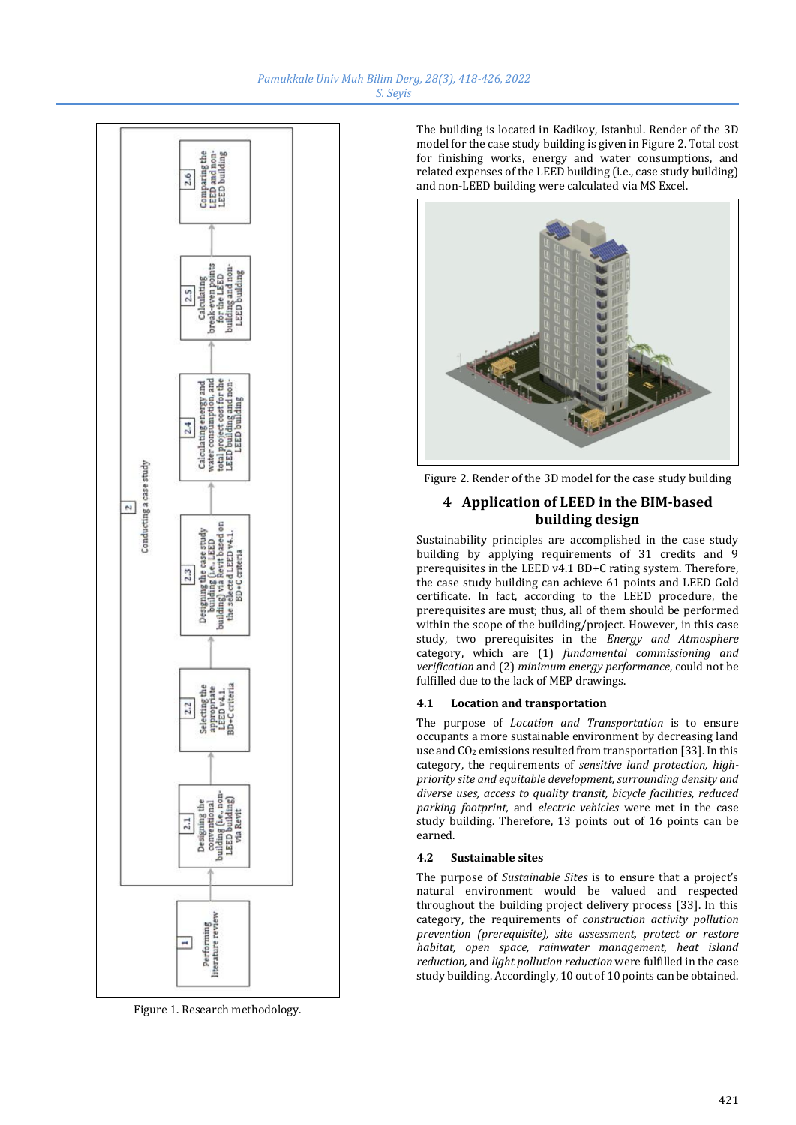

Figure 1. Research methodology.

The building is located in Kadikoy, Istanbul. Render of the 3D model for the case study building is given in Figure 2. Total cost for finishing works, energy and water consumptions, and related expenses of the LEED building (i.e., case study building) and non-LEED building were calculated via MS Excel.



Figure 2. Render of the 3D model for the case study building

# **4 Application of LEED in the BIM-based building design**

Sustainability principles are accomplished in the case study building by applying requirements of 31 credits and 9 prerequisites in the LEED v4.1 BD+C rating system. Therefore, the case study building can achieve 61 points and LEED Gold certificate. In fact, according to the LEED procedure, the prerequisites are must; thus, all of them should be performed within the scope of the building/project. However, in this case study, two prerequisites in the *Energy and Atmosphere* category, which are (1) *fundamental commissioning and verification* and (2) *minimum energy performance*, could not be fulfilled due to the lack of MEP drawings.

# **4.1 Location and transportation**

The purpose of *Location and Transportation* is to ensure occupants a more sustainable environment by decreasing land use and CO<sub>2</sub> emissions resulted from transportation [33]. In this category, the requirements of *sensitive land protection, highpriority site and equitable development, surrounding density and diverse uses, access to quality transit, bicycle facilities, reduced parking footprint,* and *electric vehicles* were met in the case study building. Therefore, 13 points out of 16 points can be earned.

#### **4.2 Sustainable sites**

The purpose of *Sustainable Sites* is to ensure that a project's natural environment would be valued and respected throughout the building project delivery process [33]. In this category, the requirements of *construction activity pollution prevention (prerequisite), site assessment, protect or restore habitat, open space, rainwater management, heat island reduction,* and *light pollution reduction* were fulfilled in the case study building. Accordingly, 10 out of 10 points can be obtained.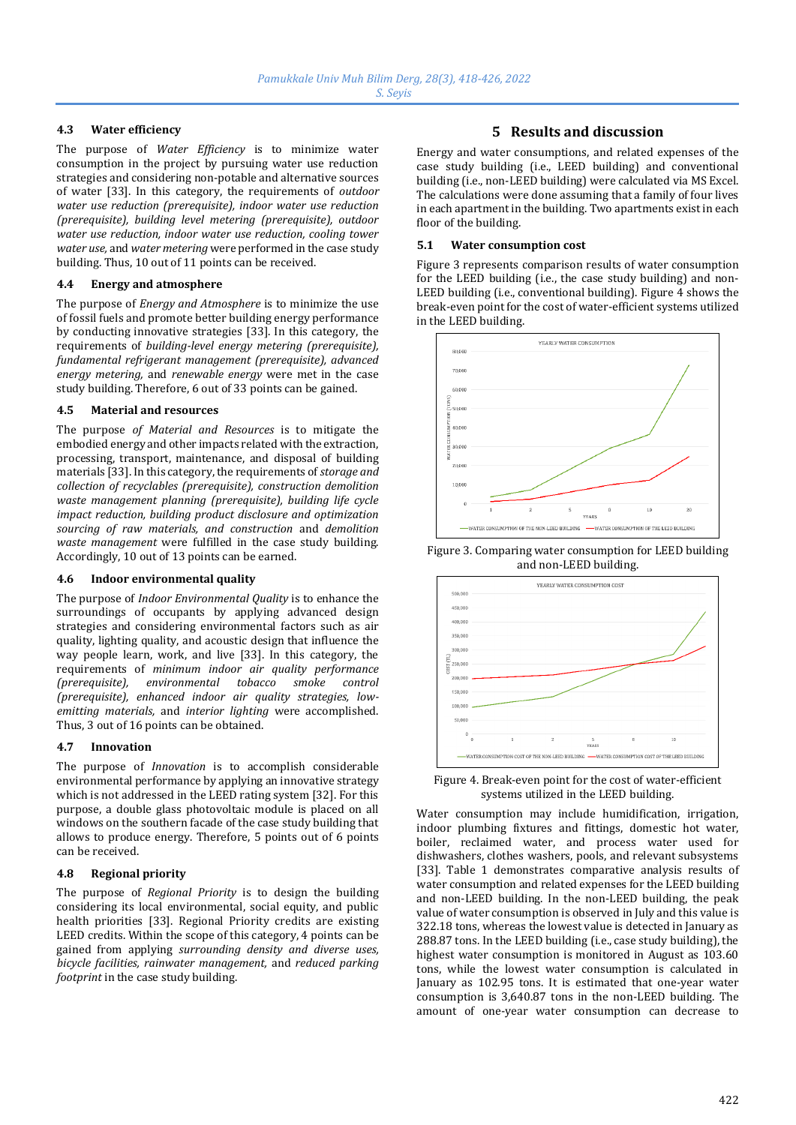## **4.3 Water efficiency**

The purpose of *Water Efficiency* is to minimize water consumption in the project by pursuing water use reduction strategies and considering non-potable and alternative sources of water [33]. In this category, the requirements of *outdoor water use reduction (prerequisite), indoor water use reduction (prerequisite), building level metering (prerequisite), outdoor water use reduction, indoor water use reduction, cooling tower water use,* and *water metering* were performed in the case study building. Thus, 10 out of 11 points can be received.

#### **4.4 Energy and atmosphere**

The purpose of *Energy and Atmosphere* is to minimize the use of fossil fuels and promote better building energy performance by conducting innovative strategies [33]. In this category, the requirements of *building-level energy metering (prerequisite), fundamental refrigerant management (prerequisite), advanced energy metering,* and *renewable energy* were met in the case study building. Therefore, 6 out of 33 points can be gained.

#### **4.5 Material and resources**

The purpose *of Material and Resources* is to mitigate the embodied energy and other impacts related with the extraction, processing, transport, maintenance, and disposal of building materials [33]. In this category, the requirements of *storage and collection of recyclables (prerequisite), construction demolition waste management planning (prerequisite), building life cycle impact reduction, building product disclosure and optimization sourcing of raw materials, and construction* and *demolition waste management* were fulfilled in the case study building. Accordingly, 10 out of 13 points can be earned.

#### **4.6 Indoor environmental quality**

The purpose of *Indoor Environmental Quality* is to enhance the surroundings of occupants by applying advanced design strategies and considering environmental factors such as air quality, lighting quality, and acoustic design that influence the way people learn, work, and live [33]. In this category, the requirements of *minimum indoor air quality performance (prerequisite), environmental tobacco smoke control (prerequisite), enhanced indoor air quality strategies, lowemitting materials,* and *interior lighting* were accomplished. Thus, 3 out of 16 points can be obtained.

#### **4.7 Innovation**

The purpose of *Innovation* is to accomplish considerable environmental performance by applying an innovative strategy which is not addressed in the LEED rating system [32]. For this purpose, a double glass photovoltaic module is placed on all windows on the southern facade of the case study building that allows to produce energy. Therefore, 5 points out of 6 points can be received.

#### **4.8 Regional priority**

The purpose of *Regional Priority* is to design the building considering its local environmental, social equity, and public health priorities [33]. Regional Priority credits are existing LEED credits. Within the scope of this category, 4 points can be gained from applying *surrounding density and diverse uses, bicycle facilities, rainwater management,* and *reduced parking footprint* in the case study building.

# **5 Results and discussion**

Energy and water consumptions, and related expenses of the case study building (i.e., LEED building) and conventional building (i.e., non-LEED building) were calculated via MS Excel. The calculations were done assuming that a family of four lives in each apartment in the building. Two apartments exist in each floor of the building.

#### **5.1 Water consumption cost**

Figure 3 represents comparison results of water consumption for the LEED building (i.e., the case study building) and non-LEED building (i.e., conventional building). Figure 4 shows the break-even point for the cost of water-efficient systems utilized in the LEED building.



Figure 3. Comparing water consumption for LEED building and non-LEED building.



Figure 4. Break-even point for the cost of water-efficient systems utilized in the LEED building.

Water consumption may include humidification, irrigation, indoor plumbing fixtures and fittings, domestic hot water, boiler, reclaimed water, and process water used for dishwashers, clothes washers, pools, and relevant subsystems [33]. Table 1 demonstrates comparative analysis results of water consumption and related expenses for the LEED building and non-LEED building. In the non-LEED building, the peak value of water consumption is observed in July and this value is 322.18 tons, whereas the lowest value is detected in January as 288.87 tons. In the LEED building (i.e., case study building), the highest water consumption is monitored in August as 103.60 tons, while the lowest water consumption is calculated in January as 102.95 tons. It is estimated that one-year water consumption is 3,640.87 tons in the non-LEED building. The amount of one-year water consumption can decrease to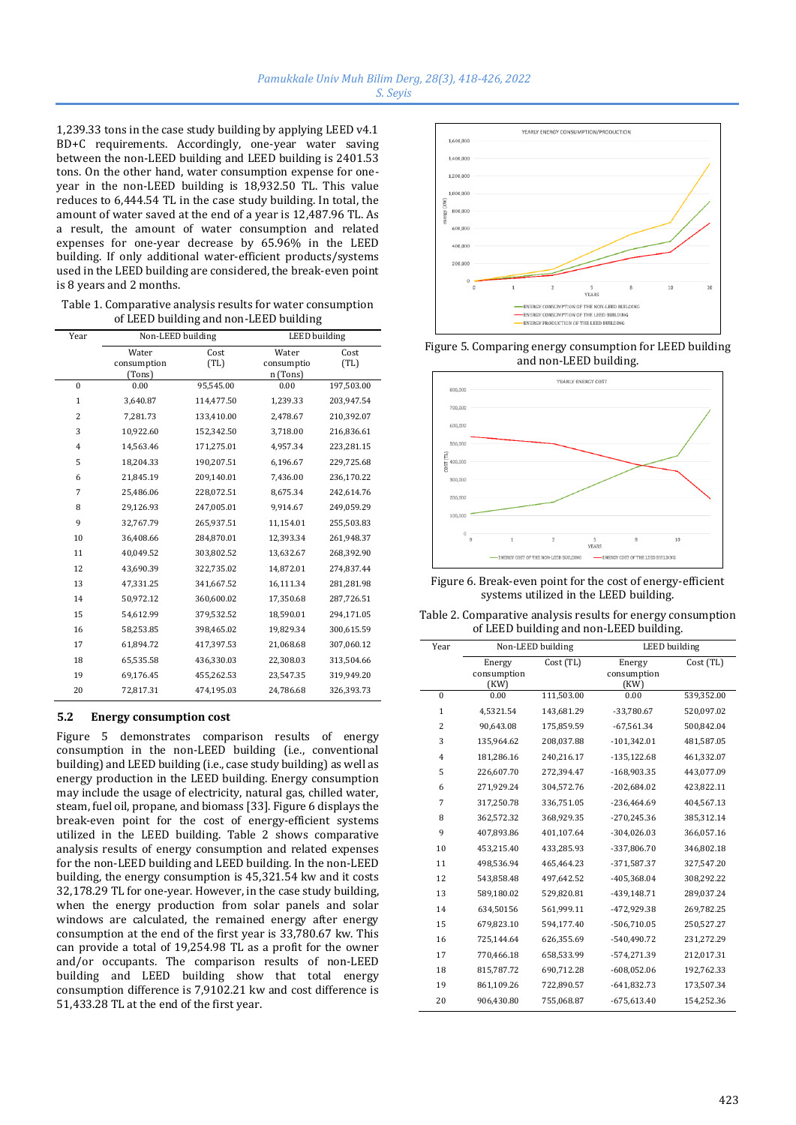1,239.33 tons in the case study building by applying LEED v4.1 BD+C requirements. Accordingly, one-year water saving between the non-LEED building and LEED building is 2401.53 tons. On the other hand, water consumption expense for oneyear in the non-LEED building is 18,932.50 TL. This value reduces to 6,444.54 TL in the case study building. In total, the amount of water saved at the end of a year is 12,487.96 TL. As a result, the amount of water consumption and related expenses for one-year decrease by 65.96% in the LEED building. If only additional water-efficient products/systems used in the LEED building are considered, the break-even point is 8 years and 2 months.

Table 1. Comparative analysis results for water consumption of LEED building and non-LEED building

| Year           | Non-LEED building              |              | <b>LEED</b> building            |              |
|----------------|--------------------------------|--------------|---------------------------------|--------------|
|                | Water<br>consumption<br>(Tons) | Cost<br>(TL) | Water<br>consumptio<br>n (Tons) | Cost<br>(TL) |
| $\theta$       | 0.00                           | 95,545.00    | 0.00                            | 197,503.00   |
| $\mathbf{1}$   | 3,640.87                       | 114,477.50   | 1,239.33                        | 203,947.54   |
| $\overline{2}$ | 7,281.73                       | 133,410.00   | 2,478.67                        | 210,392.07   |
| 3              | 10,922.60                      | 152,342.50   | 3.718.00                        | 216,836.61   |
| $\overline{4}$ | 14,563.46                      | 171,275.01   | 4,957.34                        | 223,281.15   |
| 5              | 18,204.33                      | 190,207.51   | 6,196.67                        | 229,725.68   |
| 6              | 21,845.19                      | 209,140.01   | 7,436.00                        | 236,170.22   |
| 7              | 25,486.06                      | 228,072.51   | 8,675.34                        | 242,614.76   |
| 8              | 29,126.93                      | 247,005.01   | 9,914.67                        | 249,059.29   |
| 9              | 32,767.79                      | 265,937.51   | 11,154.01                       | 255,503.83   |
| 10             | 36,408.66                      | 284,870.01   | 12,393.34                       | 261,948.37   |
| 11             | 40.049.52                      | 303,802.52   | 13,632.67                       | 268,392.90   |
| 12             | 43,690.39                      | 322,735.02   | 14,872.01                       | 274,837.44   |
| 13             | 47,331.25                      | 341,667.52   | 16,111.34                       | 281,281.98   |
| 14             | 50,972.12                      | 360,600.02   | 17,350.68                       | 287,726.51   |
| 15             | 54,612.99                      | 379,532.52   | 18,590.01                       | 294,171.05   |
| 16             | 58,253.85                      | 398,465.02   | 19,829.34                       | 300,615.59   |
| 17             | 61,894.72                      | 417,397.53   | 21,068.68                       | 307,060.12   |
| 18             | 65,535.58                      | 436,330.03   | 22,308.03                       | 313,504.66   |
| 19             | 69,176.45                      | 455,262.53   | 23,547.35                       | 319,949.20   |
| 20             | 72,817.31                      | 474,195.03   | 24,786.68                       | 326,393.73   |

#### **5.2 Energy consumption cost**

Figure 5 demonstrates comparison results of energy consumption in the non-LEED building (i.e., conventional building) and LEED building (i.e., case study building) as well as energy production in the LEED building. Energy consumption may include the usage of electricity, natural gas, chilled water, steam, fuel oil, propane, and biomass [33]. Figure 6 displays the break-even point for the cost of energy-efficient systems utilized in the LEED building. Table 2 shows comparative analysis results of energy consumption and related expenses for the non-LEED building and LEED building. In the non-LEED building, the energy consumption is 45,321.54 kw and it costs 32,178.29 TL for one-year. However, in the case study building, when the energy production from solar panels and solar windows are calculated, the remained energy after energy consumption at the end of the first year is 33,780.67 kw. This can provide a total of 19,254.98 TL as a profit for the owner and/or occupants. The comparison results of non-LEED building and LEED building show that total energy consumption difference is 7,9102.21 kw and cost difference is 51,433.28 TL at the end of the first year.



Figure 5. Comparing energy consumption for LEED building and non-LEED building.



Figure 6. Break-even point for the cost of energy-efficient systems utilized in the LEED building.

| Table 2. Comparative analysis results for energy consumption |  |
|--------------------------------------------------------------|--|
| of LEED building and non-LEED building.                      |  |

| Year           | Non-LEED building |            | <b>LEED</b> building |            |
|----------------|-------------------|------------|----------------------|------------|
|                | Energy            | Cost (TL)  | Energy               | Cost (TL)  |
|                | consumption       |            | consumption          |            |
|                | (KW)              |            | (KW)                 |            |
| $\Omega$       | 0.00              | 111,503.00 | 0.00                 | 539,352.00 |
| $\mathbf{1}$   | 4,5321.54         | 143,681.29 | -33,780.67           | 520,097.02 |
| $\overline{2}$ | 90,643.08         | 175,859.59 | $-67,561.34$         | 500,842.04 |
| 3              | 135,964.62        | 208,037.88 | $-101,342.01$        | 481,587.05 |
| $\overline{4}$ | 181,286.16        | 240,216.17 | $-135,122.68$        | 461,332.07 |
| 5              | 226,607.70        | 272,394.47 | -168,903.35          | 443,077.09 |
| 6              | 271,929.24        | 304,572.76 | $-202,684.02$        | 423,822.11 |
| 7              | 317,250.78        | 336,751.05 | $-236,464.69$        | 404,567.13 |
| 8              | 362,572.32        | 368.929.35 | $-270,245.36$        | 385,312.14 |
| 9              | 407,893.86        | 401,107.64 | $-304,026.03$        | 366,057.16 |
| 10             | 453,215.40        | 433,285.93 | -337,806.70          | 346,802.18 |
| 11             | 498,536.94        | 465,464.23 | $-371,587.37$        | 327,547.20 |
| 12             | 543,858.48        | 497,642.52 | -405,368.04          | 308,292.22 |
| 13             | 589,180.02        | 529,820.81 | -439,148.71          | 289,037.24 |
| 14             | 634,50156         | 561,999.11 | -472,929.38          | 269,782.25 |
| 15             | 679,823.10        | 594,177.40 | $-506,710.05$        | 250,527.27 |
| 16             | 725,144.64        | 626,355.69 | -540,490.72          | 231,272.29 |
| 17             | 770,466.18        | 658,533.99 | -574,271.39          | 212,017.31 |
| 18             | 815,787.72        | 690,712.28 | $-608,052.06$        | 192,762.33 |
| 19             | 861,109.26        | 722,890.57 | $-641,832.73$        | 173,507.34 |
| 20             | 906,430.80        | 755,068.87 | $-675,613.40$        | 154,252.36 |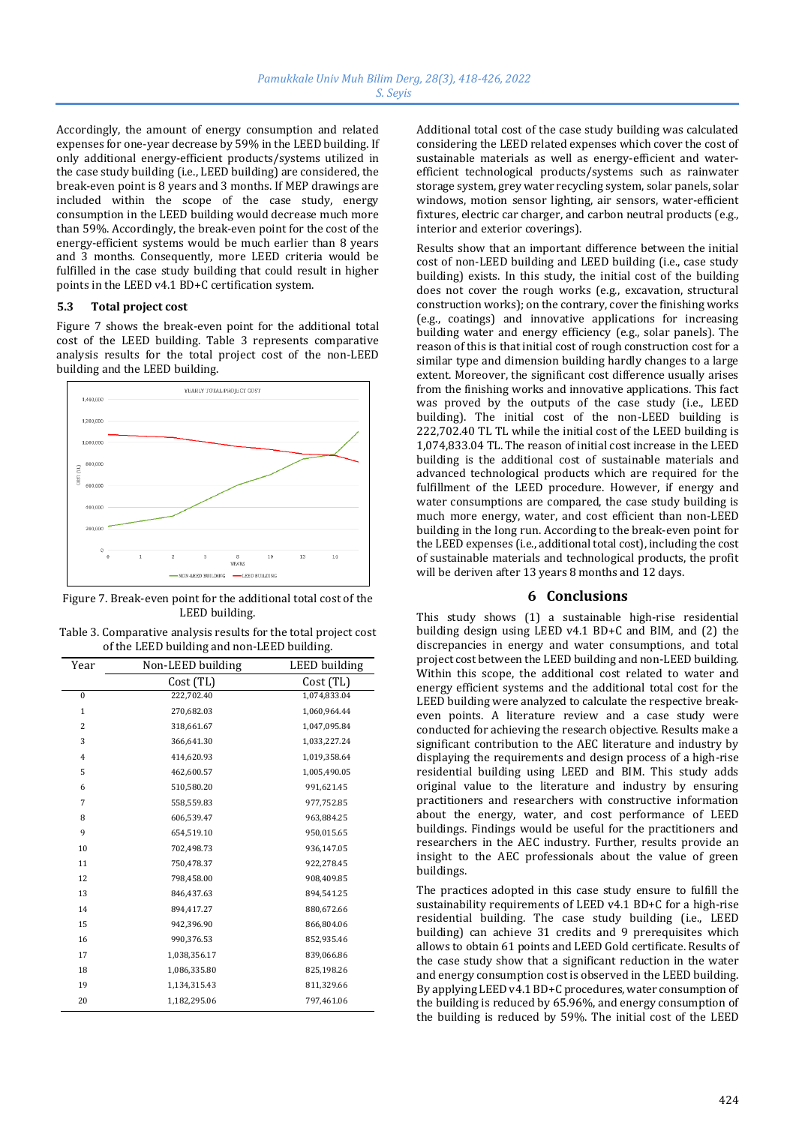Accordingly, the amount of energy consumption and related expenses for one-year decrease by 59% in the LEED building. If only additional energy-efficient products/systems utilized in the case study building (i.e., LEED building) are considered, the break-even point is 8 years and 3 months. If MEP drawings are included within the scope of the case study, energy consumption in the LEED building would decrease much more than 59%. Accordingly, the break-even point for the cost of the energy-efficient systems would be much earlier than 8 years and 3 months. Consequently, more LEED criteria would be fulfilled in the case study building that could result in higher points in the LEED v4.1 BD+C certification system.

#### **5.3 Total project cost**

Figure 7 shows the break-even point for the additional total cost of the LEED building. Table 3 represents comparative analysis results for the total project cost of the non-LEED building and the LEED building.



Figure 7. Break-even point for the additional total cost of the LEED building.

| Table 3. Comparative analysis results for the total project cost |
|------------------------------------------------------------------|
| of the LEED building and non-LEED building.                      |

| Year           | Non-LEED building | LEED building |
|----------------|-------------------|---------------|
|                | Cost (TL)         | Cost (TL)     |
| $\mathbf{0}$   | 222,702.40        | 1,074,833.04  |
| $\mathbf{1}$   | 270,682.03        | 1,060,964.44  |
| $\overline{2}$ | 318,661.67        | 1,047,095.84  |
| 3              | 366,641.30        | 1,033,227.24  |
| $\overline{4}$ | 414,620.93        | 1,019,358.64  |
| 5              | 462,600.57        | 1,005,490.05  |
| 6              | 510,580.20        | 991,621.45    |
| 7              | 558,559.83        | 977,752.85    |
| 8              | 606,539.47        | 963,884.25    |
| 9              | 654,519.10        | 950,015.65    |
| 10             | 702,498.73        | 936,147.05    |
| 11             | 750,478.37        | 922,278.45    |
| 12             | 798,458.00        | 908,409.85    |
| 13             | 846,437.63        | 894,541.25    |
| 14             | 894,417.27        | 880,672.66    |
| 15             | 942,396.90        | 866,804.06    |
| 16             | 990,376.53        | 852,935.46    |
| 17             | 1,038,356.17      | 839,066.86    |
| 18             | 1,086,335.80      | 825,198.26    |
| 19             | 1,134,315.43      | 811,329.66    |
| 20             | 1,182,295.06      | 797,461.06    |

Additional total cost of the case study building was calculated considering the LEED related expenses which cover the cost of sustainable materials as well as energy-efficient and waterefficient technological products/systems such as rainwater storage system, grey water recycling system, solar panels, solar windows, motion sensor lighting, air sensors, water-efficient fixtures, electric car charger, and carbon neutral products (e.g., interior and exterior coverings).

Results show that an important difference between the initial cost of non-LEED building and LEED building (i.e., case study building) exists. In this study, the initial cost of the building does not cover the rough works (e.g., excavation, structural construction works); on the contrary, cover the finishing works (e.g., coatings) and innovative applications for increasing building water and energy efficiency (e.g., solar panels). The reason of this is that initial cost of rough construction cost for a similar type and dimension building hardly changes to a large extent. Moreover, the significant cost difference usually arises from the finishing works and innovative applications. This fact was proved by the outputs of the case study (i.e., LEED building). The initial cost of the non-LEED building is 222,702.40 TL TL while the initial cost of the LEED building is 1,074,833.04 TL. The reason of initial cost increase in the LEED building is the additional cost of sustainable materials and advanced technological products which are required for the fulfillment of the LEED procedure. However, if energy and water consumptions are compared, the case study building is much more energy, water, and cost efficient than non-LEED building in the long run. According to the break-even point for the LEED expenses (i.e., additional total cost), including the cost of sustainable materials and technological products, the profit will be deriven after 13 years 8 months and 12 days.

# **6 Conclusions**

This study shows (1) a sustainable high-rise residential building design using LEED v4.1 BD+C and BIM, and (2) the discrepancies in energy and water consumptions, and total project cost between the LEED building and non-LEED building. Within this scope, the additional cost related to water and energy efficient systems and the additional total cost for the LEED building were analyzed to calculate the respective breakeven points. A literature review and a case study were conducted for achieving the research objective. Results make a significant contribution to the AEC literature and industry by displaying the requirements and design process of a high-rise residential building using LEED and BIM. This study adds original value to the literature and industry by ensuring practitioners and researchers with constructive information about the energy, water, and cost performance of LEED buildings. Findings would be useful for the practitioners and researchers in the AEC industry. Further, results provide an insight to the AEC professionals about the value of green buildings.

The practices adopted in this case study ensure to fulfill the sustainability requirements of LEED v4.1 BD+C for a high-rise residential building. The case study building (i.e., LEED building) can achieve 31 credits and 9 prerequisites which allows to obtain 61 points and LEED Gold certificate. Results of the case study show that a significant reduction in the water and energy consumption cost is observed in the LEED building. By applying LEED v4.1 BD+C procedures, water consumption of the building is reduced by 65.96%, and energy consumption of the building is reduced by 59%. The initial cost of the LEED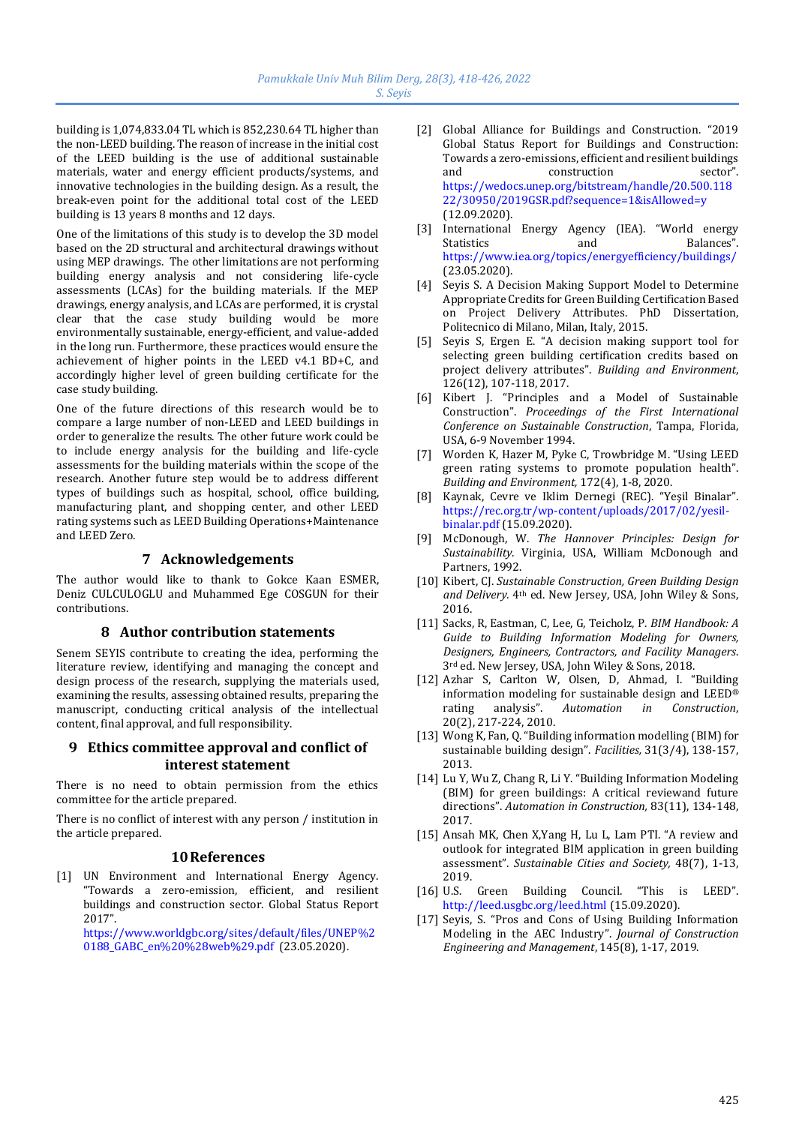building is 1,074,833.04 TL which is 852,230.64 TL higher than the non-LEED building. The reason of increase in the initial cost of the LEED building is the use of additional sustainable materials, water and energy efficient products/systems, and innovative technologies in the building design. As a result, the break-even point for the additional total cost of the LEED building is 13 years 8 months and 12 days.

One of the limitations of this study is to develop the 3D model based on the 2D structural and architectural drawings without using MEP drawings. The other limitations are not performing building energy analysis and not considering life-cycle assessments (LCAs) for the building materials. If the MEP drawings, energy analysis, and LCAs are performed, it is crystal clear that the case study building would be more environmentally sustainable, energy-efficient, and value-added in the long run. Furthermore, these practices would ensure the achievement of higher points in the LEED v4.1 BD+C, and accordingly higher level of green building certificate for the case study building.

One of the future directions of this research would be to compare a large number of non-LEED and LEED buildings in order to generalize the results. The other future work could be to include energy analysis for the building and life-cycle assessments for the building materials within the scope of the research. Another future step would be to address different types of buildings such as hospital, school, office building, manufacturing plant, and shopping center, and other LEED rating systems such as LEED Building Operations+Maintenance and LEED Zero.

# **7 Acknowledgements**

The author would like to thank to Gokce Kaan ESMER, Deniz CULCULOGLU and Muhammed Ege COSGUN for their contributions.

# **8 Author contribution statements**

Senem SEYIS contribute to creating the idea, performing the literature review, identifying and managing the concept and design process of the research, supplying the materials used, examining the results, assessing obtained results, preparing the manuscript, conducting critical analysis of the intellectual content, final approval, and full responsibility.

# **9 Ethics committee approval and conflict of interest statement**

There is no need to obtain permission from the ethics committee for the article prepared.

There is no conflict of interest with any person / institution in the article prepared.

# **10References**

[1] UN Environment and International Energy Agency. "Towards a zero-emission, efficient, and resilient buildings and construction sector. Global Status Report 2017".

[https://www.worldgbc.org/sites/default/files/UNEP%2](https://www.worldgbc.org/sites/default/files/UNEP%20188_GABC_en%20%28web%29.pdf) [0188\\_GABC\\_en%20%28web%29.pdf](https://www.worldgbc.org/sites/default/files/UNEP%20188_GABC_en%20%28web%29.pdf) (23.05.2020).

- [2] Global Alliance for Buildings and Construction. "2019 Global Status Report for Buildings and Construction: Towards a zero-emissions, efficient and resilient buildings and construction sector". [https://wedocs.unep.org/bitstream/handle/20.500.118](https://wedocs.unep.org/bitstream/handle/20.500.11822/30950/2019GSR.pdf?sequence=1&isAllowed=y) [22/30950/2019GSR.pdf?sequence=1&isAllowed=y](https://wedocs.unep.org/bitstream/handle/20.500.11822/30950/2019GSR.pdf?sequence=1&isAllowed=y)  (12.09.2020).
- [3] International Energy Agency (IEA). "World energy Statistics and Balances". <https://www.iea.org/topics/energyefficiency/buildings/> (23.05.2020).
- [4] Seyis S. A Decision Making Support Model to Determine Appropriate Credits for Green Building Certification Based on Project Delivery Attributes. PhD Dissertation, Politecnico di Milano, Milan, Italy, 2015.
- [5] Seyis S, Ergen E. "A decision making support tool for selecting green building certification credits based on project delivery attributes". *Building and Environment*, 126(12), 107-118, 2017.
- [6] Kibert J. "Principles and a Model of Sustainable Construction". *Proceedings of the First International Conference on Sustainable Construction*, Tampa, Florida, USA, 6-9 November 1994.
- [7] Worden K, Hazer M, Pyke C, Trowbridge M. "Using LEED green rating systems to promote population health". *Building and Environment,* 172(4), 1-8, 2020.
- [8] Kaynak, Cevre ve Iklim Dernegi (REC). "Yeşil Binalar". [https://rec.org.tr/wp-content/uploads/2017/02/yesil](https://rec.org.tr/wp-content/uploads/2017/02/yesil-binalar.pdf)[binalar.pdf](https://rec.org.tr/wp-content/uploads/2017/02/yesil-binalar.pdf) (15.09.2020).
- [9] McDonough, W. *The Hannover Principles: Design for Sustainability*. Virginia, USA, William McDonough and Partners, 1992.
- [10] Kibert, CJ. *Sustainable Construction, Green Building Design and Delivery.* 4th ed. New Jersey, USA, John Wiley & Sons, 2016.
- [11] Sacks, R, Eastman, C, Lee, G, Teicholz, P. *BIM Handbook: A Guide to Building Information Modeling for Owners, Designers, Engineers, Contractors, and Facility Managers*. 3rd ed. New Jersey, USA, John Wiley & Sons, 2018.
- [12] Azhar S, Carlton W, Olsen, D, Ahmad, I. "Building information modeling for sustainable design and LEED® rating analysis". *Automation in Construction*, 20(2), 217-224, 2010.
- [13] Wong K, Fan, Q. "Building information modelling (BIM) for sustainable building design". *Facilities,* 31(3/4), 138-157, 2013.
- [14] Lu Y, Wu Z, Chang R, Li Y. "Building Information Modeling (BIM) for green buildings: A critical reviewand future directions". *Automation in Construction,* 83(11), 134-148, 2017.
- [15] Ansah MK, Chen X,Yang H, Lu L, Lam PTI. "A review and outlook for integrated BIM application in green building assessment". *Sustainable Cities and Society,* 48(7), 1-13, 2019.
- [16] U.S. Green Building Council. "This is LEED". http://leed.usgbc.org/leed.html (15.09.2020).
- [17] Seyis, S. "Pros and Cons of Using Building Information Modeling in the AEC Industry". *Journal of Construction Engineering and Management*, 145(8), 1-17, 2019.